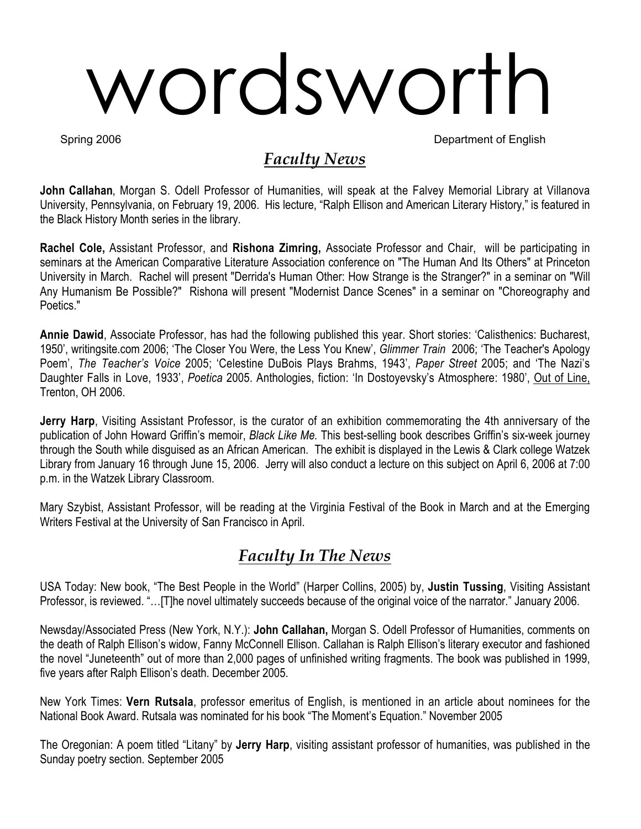# wordsworth

Spring 2006 **Department of English** 

# *Faculty News*

**John Callahan**, Morgan S. Odell Professor of Humanities, will speak at the Falvey Memorial Library at Villanova University, Pennsylvania, on February 19, 2006. His lecture, "Ralph Ellison and American Literary History," is featured in the Black History Month series in the library.

**Rachel Cole,** Assistant Professor, and **Rishona Zimring,** Associate Professor and Chair, will be participating in seminars at the American Comparative Literature Association conference on "The Human And Its Others" at Princeton University in March. Rachel will present "Derrida's Human Other: How Strange is the Stranger?" in a seminar on "Will Any Humanism Be Possible?" Rishona will present "Modernist Dance Scenes" in a seminar on "Choreography and Poetics."

**Annie Dawid**, Associate Professor, has had the following published this year. Short stories: 'Calisthenics: Bucharest, 1950', writingsite.com 2006; 'The Closer You Were, the Less You Knew', *Glimmer Train* 2006; 'The Teacher's Apology Poem', *The Teacher's Voice* 2005; 'Celestine DuBois Plays Brahms, 1943', *Paper Street* 2005; and 'The Nazi's Daughter Falls in Love, 1933', *Poetica* 2005. Anthologies, fiction: 'In Dostoyevsky's Atmosphere: 1980', Out of Line, Trenton, OH 2006.

**Jerry Harp**, Visiting Assistant Professor, is the curator of an exhibition commemorating the 4th anniversary of the publication of John Howard Griffin's memoir, *Black Like Me.* This best-selling book describes Griffin's six-week journey through the South while disguised as an African American. The exhibit is displayed in the Lewis & Clark college Watzek Library from January 16 through June 15, 2006. Jerry will also conduct a lecture on this subject on April 6, 2006 at 7:00 p.m. in the Watzek Library Classroom.

Mary Szybist, Assistant Professor, will be reading at the Virginia Festival of the Book in March and at the Emerging Writers Festival at the University of San Francisco in April.

# *Faculty In The News*

USA Today: New book, "The Best People in the World" (Harper Collins, 2005) by, **Justin Tussing**, Visiting Assistant Professor, is reviewed. "…[T]he novel ultimately succeeds because of the original voice of the narrator." January 2006.

Newsday/Associated Press (New York, N.Y.): **John Callahan,** Morgan S. Odell Professor of Humanities, comments on the death of Ralph Ellison's widow, Fanny McConnell Ellison. Callahan is Ralph Ellison's literary executor and fashioned the novel "Juneteenth" out of more than 2,000 pages of unfinished writing fragments. The book was published in 1999, five years after Ralph Ellison's death. December 2005.

New York Times: **Vern Rutsala**, professor emeritus of English, is mentioned in an article about nominees for the National Book Award. Rutsala was nominated for his book "The Moment's Equation." November 2005

The Oregonian: A poem titled "Litany" by **Jerry Harp**, visiting assistant professor of humanities, was published in the Sunday poetry section. September 2005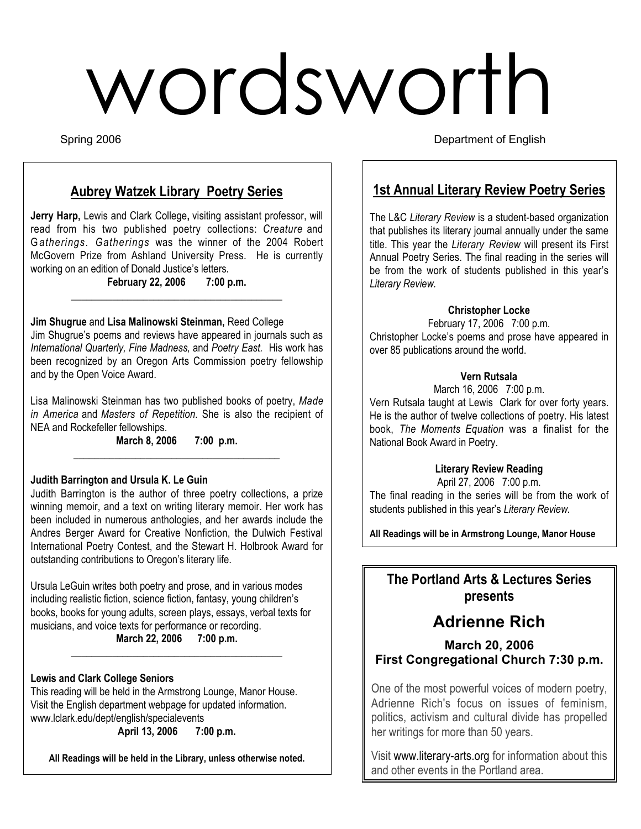# wordsworth

Spring 2006 **Department of English** 

# **Aubrey Watzek Library Poetry Series**

**Jerry Harp,** Lewis and Clark College**,** visiting assistant professor, will read from his two published poetry collections: *Creature* and G*atherings*. *Gatherings* was the winner of the 2004 Robert McGovern Prize from Ashland University Press. He is currently working on an edition of Donald Justice's letters.

> **February 22, 2006 7:00 p.m.**  $\overline{\phantom{a}}$  , and the set of the set of the set of the set of the set of the set of the set of the set of the set of the set of the set of the set of the set of the set of the set of the set of the set of the set of the s

## **Jim Shugrue** and **Lisa Malinowski Steinman,** Reed College

Jim Shugrue's poems and reviews have appeared in journals such as *International Quarterly, Fine Madness,* and *Poetry East.* His work has been recognized by an Oregon Arts Commission poetry fellowship and by the Open Voice Award.

Lisa Malinowski Steinman has two published books of poetry, *Made in America* and *Masters of Repetition.* She is also the recipient of NEA and Rockefeller fellowships.

## **March 8, 2006 7:00 p.m.** \_\_\_\_\_\_\_\_\_\_\_\_\_\_\_\_\_\_\_\_\_\_\_\_\_\_\_\_\_\_\_\_\_\_\_\_\_\_\_\_

## **Judith Barrington and Ursula K. Le Guin**

Judith Barrington is the author of three poetry collections, a prize winning memoir, and a text on writing literary memoir. Her work has been included in numerous anthologies, and her awards include the Andres Berger Award for Creative Nonfiction, the Dulwich Festival International Poetry Contest, and the Stewart H. Holbrook Award for outstanding contributions to Oregon's literary life.

Ursula LeGuin writes both poetry and prose, and in various modes including realistic fiction, science fiction, fantasy, young children's books, books for young adults, screen plays, essays, verbal texts for musicians, and voice texts for performance or recording.

**March 22, 2006 7:00 p.m.**  $\overline{\phantom{a}}$  , and the set of the set of the set of the set of the set of the set of the set of the set of the set of the set of the set of the set of the set of the set of the set of the set of the set of the set of the s

## **Lewis and Clark College Seniors**

This reading will be held in the Armstrong Lounge, Manor House. Visit the English department webpage for updated information. www.lclark.edu/dept/english/specialevents **April 13, 2006 7:00 p.m.**

**All Readings will be held in the Library, unless otherwise noted.**

# **1st Annual Literary Review Poetry Series**

The L&C *Literary Review* is a student-based organization that publishes its literary journal annually under the same title. This year the *Literary Review* will present its First Annual Poetry Series. The final reading in the series will be from the work of students published in this year's *Literary Review.*

## **Christopher Locke**

February 17, 2006 7:00 p.m. Christopher Locke's poems and prose have appeared in over 85 publications around the world.

### **Vern Rutsala**

March 16, 2006 7:00 p.m.

Vern Rutsala taught at Lewis Clark for over forty years. He is the author of twelve collections of poetry. His latest book, *The Moments Equation* was a finalist for the National Book Award in Poetry.

## **Literary Review Reading**

April 27, 2006 7:00 p.m. The final reading in the series will be from the work of students published in this year's *Literary Review.*

**All Readings will be in Armstrong Lounge, Manor House**

# **The Portland Arts & Lectures Series presents**

# **Adrienne Rich**

## **March 20, 2006 First Congregational Church 7:30 p.m.**

One of the most powerful voices of modern poetry, Adrienne Rich's focus on issues of feminism, politics, activism and cultural divide has propelled her writings for more than 50 years.

Visit www.literary-arts.org for information about this and other events in the Portland area.